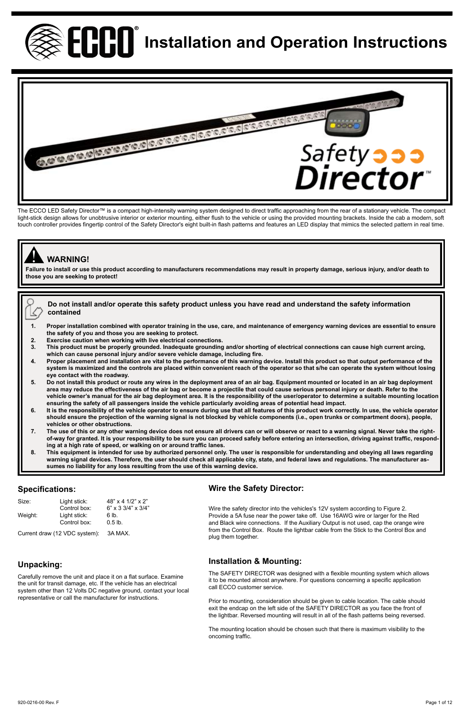

# **Ennim** Installation and Operation Instructions



The ECCO LED Safety Director™ is a compact high-intensity warning system designed to direct traffic approaching from the rear of a stationary vehicle. The compact light-stick design allows for unobtrusive interior or exterior mounting, either flush to the vehicle or using the provided mounting brackets. Inside the cab a modern, soft touch controller provides fingertip control of the Safety Director's eight built-in flash patterns and features an LED display that mimics the selected pattern in real time.

# ! **WARNING!**

R

**Failure to install or use this product according to manufacturers recommendations may result in property damage, serious injury, and/or death to those you are seeking to protect!** 

#### **Do not install and/or operate this safety product unless you have read and understand the safety information contained**

- **1. Proper installation combined with operator training in the use, care, and maintenance of emergency warning devices are essential to ensure the safety of you and those you are seeking to protect.**
- **2. Exercise caution when working with live electrical connections.**
- **3. This product must be properly grounded. Inadequate grounding and/or shorting of electrical connections can cause high current arcing, which can cause personal injury and/or severe vehicle damage, including fire.**
- **4. Proper placement and installation are vital to the performance of this warning device. Install this product so that output performance of the system is maximized and the controls are placed within convenient reach of the operator so that s/he can operate the system without losing eye contact with the roadway.**
- **5. Do not install this product or route any wires in the deployment area of an air bag. Equipment mounted or located in an air bag deployment area may reduce the effectiveness of the air bag or become a projectile that could cause serious personal injury or death. Refer to the**  vehicle owner's manual for the air bag deployment area. It is the responsibility of the user/operator to determine a suitable mounting location<br>ensuring the safety of all passengers inside the vehicle particularly avoiding
- **should ensure the projection of the warning signal is not blocked by vehicle components (i.e., open trunks or compartment doors), people, vehicles or other obstructions.**
- **7. The use of this or any other warning device does not ensure all drivers can or will observe or react to a warning signal. Never take the rightof-way for granted. It is your responsibility to be sure you can proceed safely before entering an intersection, driving against traffic, responding at a high rate of speed, or walking on or around traffic lanes.**
- **8. This equipment is intended for use by authorized personnel only. The user is responsible for understanding and obeying all laws regarding warning signal devices. Therefore, the user should check all applicable city, state, and federal laws and regulations. The manufacturer assumes no liability for any loss resulting from the use of this warning device.**

# **Specifications:**

| Size:   | Light stick: | 48" x 4 1/2" x 2"                       |  |
|---------|--------------|-----------------------------------------|--|
|         | Control box: | $6" \times 3 \frac{3}{4" \times 3}{4"}$ |  |
| Weight: | Light stick: | 6 lb.                                   |  |
|         | Control box: | $0.5$ lb.                               |  |
|         |              |                                         |  |

# **Wire the Safety Director:**

|         | Control box:                  | $6" \times 3.3/4" \times 3/4"$ | Wire the safety director into the vehicles's 12V system according to Figure 2.                              |
|---------|-------------------------------|--------------------------------|-------------------------------------------------------------------------------------------------------------|
| Weight: | Light stick:                  | 6 lb.                          | Provide a 5A fuse near the power take off. Use 16AWG wire or larger for the Red                             |
|         | Control box:                  | $0.5$ lb.                      | and Black wire connections. If the Auxiliary Output is not used, cap the orange wire                        |
|         | Current draw (12 VDC svstem): | 3A MAX.                        | from the Control Box. Route the lightbar cable from the Stick to the Control Box and<br>plug them together. |

# **Unpacking:**

Carefully remove the unit and place it on a flat surface. Examine the unit for transit damage, etc. If the vehicle has an electrical system other than 12 Volts DC negative ground, contact your local representative or call the manufacturer for instructions.

# **Installation & Mounting:**

The SAFETY DIRECTOR was designed with a flexible mounting system which allows it to be mounted almost anywhere. For questions concerning a specific application call ECCO customer service.

Prior to mounting, consideration should be given to cable location. The cable should exit the endcap on the left side of the SAFETY DIRECTOR as you face the front of the lightbar. Reversed mounting will result in all of the flash patterns being reversed.

The mounting location should be chosen such that there is maximum visibility to the oncoming traffic.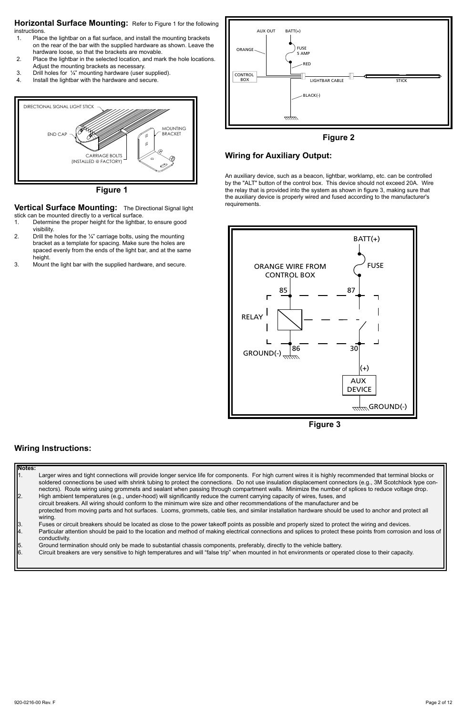**Horizontal Surface Mounting:** Refer to Figure 1 for the following instructions.<br>1. Plac

- Place the lightbar on a flat surface, and install the mounting brackets on the rear of the bar with the supplied hardware as shown. Leave the hardware loose, so that the brackets are movable.
- 2. Place the lightbar in the selected location, and mark the hole locations. Adjust the mounting brackets as necessary.
- 3. Drill holes for  $\frac{1}{4}$ " mounting hardware (user supplied).<br>4 Install the lighthar with the hardware and secure
- Install the lightbar with the hardware and secure.



**Figure 1**

**Vertical Surface Mounting:** The Directional Signal light stick can be mounted directly to a vertical surface.

- 1. Determine the proper height for the lightbar, to ensure good visibility.
- 2. Drill the holes for the ¼" carriage bolts, using the mounting bracket as a template for spacing. Make sure the holes are spaced evenly from the ends of the light bar, and at the same height.
- 3. Mount the light bar with the supplied hardware, and secure.



# **Wiring for Auxiliary Output:**

An auxiliary device, such as a beacon, lightbar, worklamp, etc. can be controlled by the "ALT" button of the control box. This device should not exceed 20A. Wire the relay that is provided into the system as shown in figure 3, making sure that the auxiliary device is properly wired and fused according to the manufacturer's requirements.



**Figure 3**

# **Wiring Instructions:**

| Notes:        |                                                                                                                                                                                                                                                                                                                         |
|---------------|-------------------------------------------------------------------------------------------------------------------------------------------------------------------------------------------------------------------------------------------------------------------------------------------------------------------------|
|               | Larger wires and tight connections will provide longer service life for components. For high current wires it is highly recommended that terminal blocks or<br>soldered connections be used with shrink tubing to protect the connections. Do not use insulation displacement connectors (e.g., 3M Scotchlock type con- |
|               | nectors). Route wiring using grommets and sealant when passing through compartment walls. Minimize the number of splices to reduce voltage drop.                                                                                                                                                                        |
| 2.            | High ambient temperatures (e.g., under-hood) will significantly reduce the current carrying capacity of wires, fuses, and                                                                                                                                                                                               |
|               | circuit breakers. All wiring should conform to the minimum wire size and other recommendations of the manufacturer and be                                                                                                                                                                                               |
|               | protected from moving parts and hot surfaces. Looms, grommets, cable ties, and similar installation hardware should be used to anchor and protect all                                                                                                                                                                   |
|               | wiring.                                                                                                                                                                                                                                                                                                                 |
| 3.            | Fuses or circuit breakers should be located as close to the power takeoff points as possible and properly sized to protect the wiring and devices.                                                                                                                                                                      |
| 4.            | Particular attention should be paid to the location and method of making electrical connections and splices to protect these points from corrosion and loss of<br>conductivity.                                                                                                                                         |
|               | Ground termination should only be made to substantial chassis components, preferably, directly to the vehicle battery.                                                                                                                                                                                                  |
| $\frac{5}{6}$ | Circuit breakers are very sensitive to high temperatures and will "false trip" when mounted in hot environments or operated close to their capacity.                                                                                                                                                                    |
|               |                                                                                                                                                                                                                                                                                                                         |
|               |                                                                                                                                                                                                                                                                                                                         |
|               |                                                                                                                                                                                                                                                                                                                         |
|               |                                                                                                                                                                                                                                                                                                                         |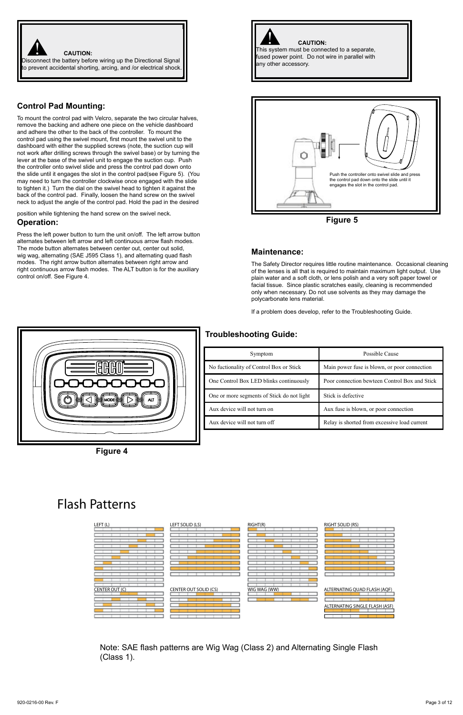

# **Control Pad Mounting:**

To mount the control pad with Velcro, separate the two circular halves, remove the backing and adhere one piece on the vehicle dashboard and adhere the other to the back of the controller. To mount the control pad using the swivel mount, first mount the swivel unit to the dashboard with either the supplied screws (note, the suction cup will not work after drilling screws through the swivel base) or by turning the lever at the base of the swivel unit to engage the suction cup. Push the controller onto swivel slide and press the control pad down onto the slide until it engages the slot in the control pad(see Figure 5). (You may need to turn the controller clockwise once engaged with the slide to tighten it.) Turn the dial on the swivel head to tighten it against the back of the control pad. Finally, loosen the hand screw on the swivel neck to adjust the angle of the control pad. Hold the pad in the desired

position while tightening the hand screw on the swivel neck. **Operation:**

Press the left power button to turn the unit on/off. The left arrow button alternates between left arrow and left continuous arrow flash modes. The mode button alternates between center out, center out solid, wig wag, alternating (SAE J595 Class 1), and alternating quad flash modes. The right arrow button alternates between right arrow and right continuous arrow flash modes. The ALT button is for the auxiliary control on/off. See Figure 4.



**Figure 5**

#### **Maintenance:**

The Safety Director requires little routine maintenance. Occasional cleaning of the lenses is all that is required to maintain maximum light output. Use plain water and a soft cloth, or lens polish and a very soft paper towel or facial tissue. Since plastic scratches easily, cleaning is recommended only when necessary. Do not use solvents as they may damage the polycarbonate lens material.

If a problem does develop, refer to the Troubleshooting Guide.

# **Troubleshooting Guide:**



**Figure 4**

| Symptom                                    | Possible Cause                                |
|--------------------------------------------|-----------------------------------------------|
| No fuctionality of Control Box or Stick    | Main power fuse is blown, or poor connection  |
| One Control Box LED blinks continuously    | Poor connection bewteen Control Box and Stick |
| One or more segments of Stick do not light | Stick is defective                            |
| Aux device will not turn on                | Aux fuse is blown, or poor connection         |
| Aux device will not turn off               | Relay is shorted from excessive load current  |

# **Flash Patterns**



Note: SAE flash patterns are Wig Wag (Class 2) and Alternating Single Flash (Class 1).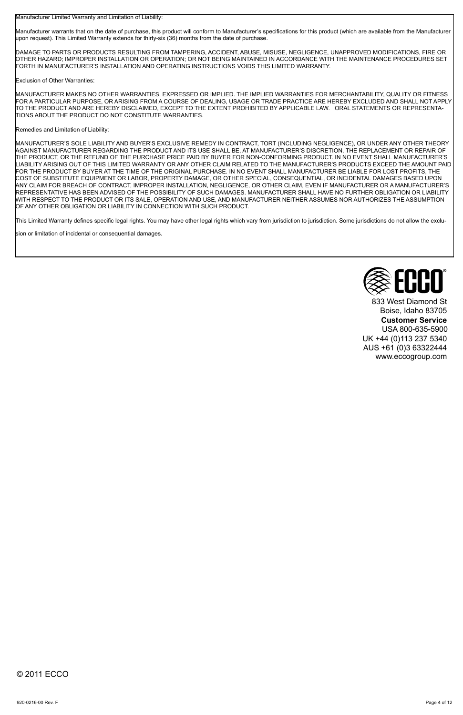Manufacturer Limited Warranty and Limitation of Liability:

Manufacturer warrants that on the date of purchase, this product will conform to Manufacturer's specifications for this product (which are available from the Manufacturer upon request). This Limited Warranty extends for thirty-six (36) months from the date of purchase.

DAMAGE TO PARTS OR PRODUCTS RESULTING FROM TAMPERING, ACCIDENT, ABUSE, MISUSE, NEGLIGENCE, UNAPPROVED MODIFICATIONS, FIRE OR OTHER HAZARD; IMPROPER INSTALLATION OR OPERATION; OR NOT BEING MAINTAINED IN ACCORDANCE WITH THE MAINTENANCE PROCEDURES SET FORTH IN MANUFACTURER'S INSTALLATION AND OPERATING INSTRUCTIONS VOIDS THIS LIMITED WARRANTY.

Exclusion of Other Warranties:

MANUFACTURER MAKES NO OTHER WARRANTIES, EXPRESSED OR IMPLIED. THE IMPLIED WARRANTIES FOR MERCHANTABILITY, QUALITY OR FITNESS FOR A PARTICULAR PURPOSE, OR ARISING FROM A COURSE OF DEALING, USAGE OR TRADE PRACTICE ARE HEREBY EXCLUDED AND SHALL NOT APPLY TO THE PRODUCT AND ARE HEREBY DISCLAIMED, EXCEPT TO THE EXTENT PROHIBITED BY APPLICABLE LAW. ORAL STATEMENTS OR REPRESENTA-TIONS ABOUT THE PRODUCT DO NOT CONSTITUTE WARRANTIES.

#### Remedies and Limitation of Liability:

MANUFACTURER'S SOLE LIABILITY AND BUYER'S EXCLUSIVE REMEDY IN CONTRACT, TORT (INCLUDING NEGLIGENCE), OR UNDER ANY OTHER THEORY AGAINST MANUFACTURER REGARDING THE PRODUCT AND ITS USE SHALL BE, AT MANUFACTURER'S DISCRETION, THE REPLACEMENT OR REPAIR OF THE PRODUCT, OR THE REFUND OF THE PURCHASE PRICE PAID BY BUYER FOR NON-CONFORMING PRODUCT. IN NO EVENT SHALL MANUFACTURER'S LIABILITY ARISING OUT OF THIS LIMITED WARRANTY OR ANY OTHER CLAIM RELATED TO THE MANUFACTURER'S PRODUCTS EXCEED THE AMOUNT PAID FOR THE PRODUCT BY BUYER AT THE TIME OF THE ORIGINAL PURCHASE. IN NO EVENT SHALL MANUFACTURER BE LIABLE FOR LOST PROFITS, THE COST OF SUBSTITUTE EQUIPMENT OR LABOR, PROPERTY DAMAGE, OR OTHER SPECIAL, CONSEQUENTIAL, OR INCIDENTAL DAMAGES BASED UPON ANY CLAIM FOR BREACH OF CONTRACT, IMPROPER INSTALLATION, NEGLIGENCE, OR OTHER CLAIM, EVEN IF MANUFACTURER OR A MANUFACTURER'S REPRESENTATIVE HAS BEEN ADVISED OF THE POSSIBILITY OF SUCH DAMAGES. MANUFACTURER SHALL HAVE NO FURTHER OBLIGATION OR LIABILITY WITH RESPECT TO THE PRODUCT OR ITS SALE, OPERATION AND USE, AND MANUFACTURER NEITHER ASSUMES NOR AUTHORIZES THE ASSUMPTION OF ANY OTHER OBLIGATION OR LIABILITY IN CONNECTION WITH SUCH PRODUCT.

This Limited Warranty defines specific legal rights. You may have other legal rights which vary from jurisdiction to jurisdiction. Some jurisdictions do not allow the exclu-

sion or limitation of incidental or consequential damages.



833 West Diamond St Boise, Idaho 83705 **Customer Service** USA 800-635-5900 UK +44 (0)113 237 5340 AUS +61 (0)3 63322444 www.eccogroup.com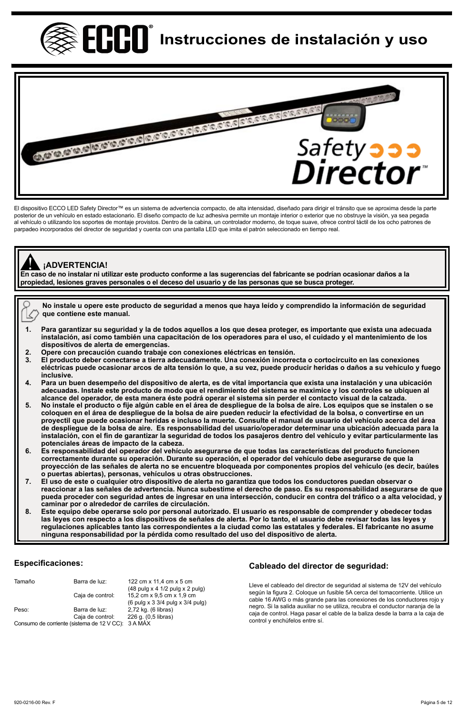**ECOO** Instrucciones de instalación y uso



El dispositivo ECCO LED Safety Director™ es un sistema de advertencia compacto, de alta intensidad, diseñado para dirigir el tránsito que se aproxima desde la parte posterior de un vehículo en estado estacionario. El diseño compacto de luz adhesiva permite un montaje interior o exterior que no obstruye la visión, ya sea pegada al vehículo o utilizando los soportes de montaje provistos. Dentro de la cabina, un controlador moderno, de toque suave, ofrece control táctil de los ocho patrones de parpadeo incorporados del director de seguridad y cuenta con una pantalla LED que imita el patrón seleccionado en tiempo real.

# **¡ADVERTENCIA!**

**En caso de no instalar ni utilizar este producto conforme a las sugerencias del fabricante se podrían ocasionar daños a la**  ! **propiedad, lesiones graves personales o el deceso del usuario y de las personas que se busca proteger.**

**No instale u opere este producto de seguridad a menos que haya leído y comprendido la información de seguridad**  Ł, **que contiene este manual.**

- **1. Para garantizar su seguridad y la de todos aquellos a los que desea proteger, es importante que exista una adecuada instalación, así como también una capacitación de los operadores para el uso, el cuidado y el mantenimiento de los dispositivos de alerta de emergencias.**
- **2. Opere con precaución cuando trabaje con conexiones eléctricas en tensión.**
- **3. El producto deber conectarse a tierra adecuadamente. Una conexión incorrecta o cortocircuito en las conexiones eléctricas puede ocasionar arcos de alta tensión lo que, a su vez, puede producir heridas o daños a su vehículo y fuego inclusive.**
- **4. Para un buen desempeño del dispositivo de alerta, es de vital importancia que exista una instalación y una ubicación adecuadas. Instale este producto de modo que el rendimiento del sistema se maximice y los controles se ubiquen al alcance del operador, de esta manera éste podrá operar el sistema sin perder el contacto visual de la calzada.**
- 5. No instale el producto o fije algún cable en el área de despliegue de la bolsa de aire. Los equipos que se instalen o se<br>coloquen en el área de despliegue de la bolsa de aire pueden reducir la efectividad de la bolsa, o **proyectil que puede ocasionar heridas e incluso la muerte. Consulte el manual de usuario del vehículo acerca del área de despliegue de la bolsa de aire. Es responsabilidad del usuario/operador determinar una ubicación adecuada para la instalación, con el fin de garantizar la seguridad de todos los pasajeros dentro del vehículo y evitar particularmente las potenciales áreas de impacto de la cabeza.**
- **6. Es responsabilidad del operador del vehículo asegurarse de que todas las características del producto funcionen correctamente durante su operación. Durante su operación, el operador del vehículo debe asegurarse de que la proyección de las señales de alerta no se encuentre bloqueada por componentes propios del vehículo (es decir, baúles o puertas abiertas), personas, vehículos u otras obstrucciones.**
- **7. El uso de este o cualquier otro dispositivo de alerta no garantiza que todos los conductores puedan observar o reaccionar a las señales de advertencia. Nunca subestime el derecho de paso. Es su responsabilidad asegurarse de que pueda proceder con seguridad antes de ingresar en una intersección, conducir en contra del tráfico o a alta velocidad, y caminar por o alrededor de carriles de circulación.**
- **8. Este equipo debe operarse solo por personal autorizado. El usuario es responsable de comprender y obedecer todas las leyes con respecto a los dispositivos de señales de alerta. Por lo tanto, el usuario debe revisar todas las leyes y regulaciones aplicables tanto las correspondientes a la ciudad como las estatales y federales. El fabricante no asume ninguna responsabilidad por la pérdida como resultado del uso del dispositivo de alerta.**

# **Especificaciones:**

| Tamaño                                             | Barra de luz:    | 122 cm x 11.4 cm x 5 cm          |
|----------------------------------------------------|------------------|----------------------------------|
|                                                    |                  | (48 pulg x 4 1/2 pulg x 2 pulg)  |
|                                                    | Caja de control: | 15.2 cm x 9.5 cm x 1.9 cm        |
|                                                    |                  | (6 pulg x 3 3/4 pulg x 3/4 pulg) |
| Peso:                                              | Barra de luz:    | 2,72 kg. (6 libras)              |
|                                                    | Caia de control: | 226 g. (0,5 libras)              |
| Consumo de corriente (sistema de 12 V CC): 3 A MÁX |                  |                                  |

## **Cableado del director de seguridad:**

Lleve el cableado del director de seguridad al sistema de 12V del vehículo según la figura 2. Coloque un fusible 5A cerca del tomacorriente. Utilice un cable 16 AWG o más grande para las conexiones de los conductores rojo y negro. Si la salida auxiliar no se utiliza, recubra el conductor naranja de la caja de control. Haga pasar el cable de la baliza desde la barra a la caja de control y enchúfelos entre sí.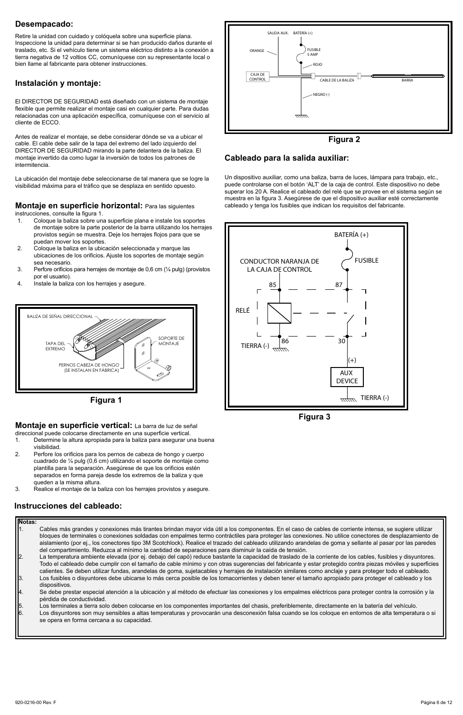# **Desempacado:**

Retire la unidad con cuidado y colóquela sobre una superficie plana. Inspeccione la unidad para determinar si se han producido daños durante el traslado, etc. Si el vehículo tiene un sistema eléctrico distinto a la conexión a tierra negativa de 12 voltios CC, comuníquese con su representante local o bien llame al fabricante para obtener instrucciones.

# **Instalación y montaje:**

El DIRECTOR DE SEGURIDAD está diseñado con un sistema de montaje flexible que permite realizar el montaje casi en cualquier parte. Para dudas relacionadas con una aplicación específica, comuníquese con el servicio al cliente de ECCO.

Antes de realizar el montaje, se debe considerar dónde se va a ubicar el cable. El cable debe salir de la tapa del extremo del lado izquierdo del DIRECTOR DE SEGURIDAD mirando la parte delantera de la baliza. El montaje invertido da como lugar la inversión de todos los patrones de intermitencia.

La ubicación del montaje debe seleccionarse de tal manera que se logre la visibilidad máxima para el tráfico que se desplaza en sentido opuesto.

# **Montaje en superficie horizontal:** Para las siguientes

instrucciones, consulte la figura 1.

- 1. Coloque la baliza sobre una superficie plana e instale los soportes de montaje sobre la parte posterior de la barra utilizando los herrajes provistos según se muestra. Deje los herrajes flojos para que se puedan mover los soportes.
- 2. Coloque la baliza en la ubicación seleccionada y marque las ubicaciones de los orificios. Ajuste los soportes de montaje según sea necesario.
- 3. Perfore orificios para herrajes de montaje de 0,6 cm (¼ pulg) (provistos por el usuario).
- 4. Instale la baliza con los herrajes y asegure.





# **Montaje en superficie vertical:** La barra de luz de señal

- direccional puede colocarse directamente en una superficie vertical.<br>1. Determine la altura apropiada para la baliza para asegurar u Determine la altura apropiada para la baliza para asegurar una buena visibilidad.
- 2. Perfore los orificios para los pernos de cabeza de hongo y cuerpo cuadrado de ¼ pulg (0,6 cm) utilizando el soporte de montaje como plantilla para la separación. Asegúrese de que los orificios estén separados en forma pareja desde los extremos de la baliza y que queden a la misma altura.
- 3. Realice el montaje de la baliza con los herrajes provistos y asegure.

### **Instrucciones del cableado:**





### **Cableado para la salida auxiliar:**

Un dispositivo auxiliar, como una baliza, barra de luces, lámpara para trabajo, etc., puede controlarse con el botón 'ALT' de la caja de control. Este dispositivo no debe superar los 20 A. Realice el cableado del relé que se provee en el sistema según se muestra en la figura 3. Asegúrese de que el dispositivo auxiliar esté correctamente cableado y tenga los fusibles que indican los requisitos del fabricante.



**Figura 3**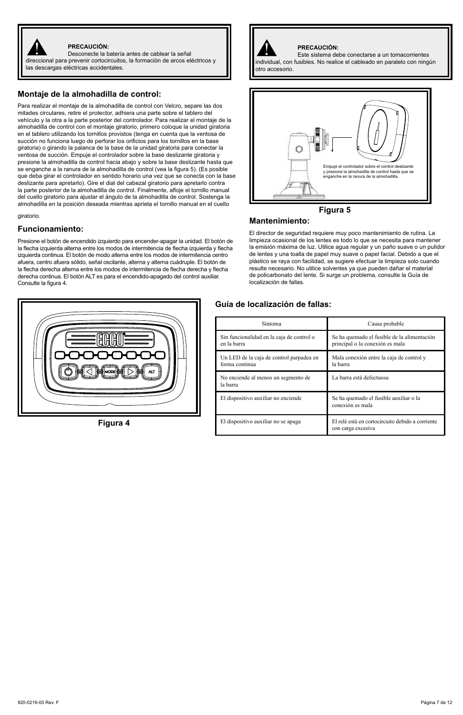

#### **PRECAUCIÓN:**

PRECAUCIÓN:<br>Desconecte la batería antes de cablear la señal en el proporto de la batería antes de cablear la señal en el p direccional para prevenir cortocircuitos, la formación de arcos eléctricos y las descargas eléctricas accidentales.

#### **Montaje de la almohadilla de control:**

Para realizar el montaje de la almohadilla de control con Velcro, separe las dos mitades circulares, retire el protector, adhiera una parte sobre el tablero del vehículo y la otra a la parte posterior del controlador. Para realizar el montaje de la almohadilla de control con el montaje giratorio, primero coloque la unidad giratoria en el tablero utilizando los tornillos provistos (tenga en cuenta que la ventosa de succión no funciona luego de perforar los orificios para los tornillos en la base giratoria) o girando la palanca de la base de la unidad giratoria para conectar la ventosa de succión. Empuje el controlador sobre la base deslizante giratoria y presione la almohadilla de control hacia abajo y sobre la base deslizante hasta que se enganche a la ranura de la almohadilla de control (vea la figura 5). (Es posible que deba girar el controlador en sentido horario una vez que se conecta con la base deslizante para apretarlo). Gire el dial del cabezal giratorio para apretarlo contra la parte posterior de la almohadilla de control. Finalmente, afloje el tornillo manual del cuello giratorio para ajustar el ángulo de la almohadilla de control. Sostenga la almohadilla en la posición deseada mientras aprieta el tornillo manual en el cuello

#### giratorio.

#### **Funcionamiento:**

Presione el botón de encendido izquierdo para encender-apagar la unidad. El botón de la flecha izquierda alterna entre los modos de intermitencia de flecha izquierda y flecha izquierda continua. El botón de modo alterna entre los modos de intermitencia centro afuera, centro afuera sólido, señal oscilante, alterna y alterna cuádruple. El botón de la flecha derecha alterna entre los modos de intermitencia de flecha derecha y flecha derecha continua. El botón ALT es para el encendido-apagado del control auxiliar. Consulte la figura 4.



**Figura 4**



#### **PRECAUCIÓN:**

Este sistema debe conectarse a un tomacorrientes individual, con fusibles. No realice el cableado en paralelo con ningún



# **Mantenimiento:**

El director de seguridad requiere muy poco mantenimiento de rutina. La limpieza ocasional de los lentes es todo lo que se necesita para mantener la emisión máxima de luz. Utilice agua regular y un paño suave o un pulidor de lentes y una toalla de papel muy suave o papel facial. Debido a que el plástico se raya con facilidad, se sugiere efectuar la limpieza solo cuando resulte necesario. No utilice solventes ya que pueden dañar el material de policarbonato del lente. Si surge un problema, consulte la Guía de localización de fallas.

### **Guía de localización de fallas:**

| Síntoma                                                    | Causa probable                                                                 |
|------------------------------------------------------------|--------------------------------------------------------------------------------|
| Sin funcionalidad en la caja de control o<br>en la harra   | Se ha quemado el fusible de la alimentación<br>principal o la conexión es mala |
| Un LED de la caja de control parpadea en<br>forma continua | Mala conexión entre la caja de control y<br>la barra                           |
| No enciende al menos un segmento de<br>la barra            | La barra está defectuosa                                                       |
| El dispositivo auxiliar no enciende                        | Se ha quemado el fusible auxiliar o la<br>conexión es mala                     |
| El dispositivo auxiliar no se apaga                        | El relé está en cortocircuito debido a corriente<br>con carga excesiva         |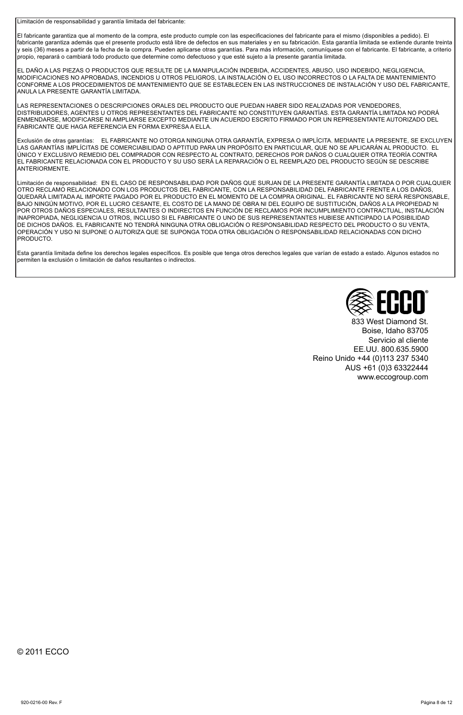Limitación de responsabilidad y garantía limitada del fabricante:

El fabricante garantiza que al momento de la compra, este producto cumple con las especificaciones del fabricante para el mismo (disponibles a pedido). El fabricante garantiza además que el presente producto está libre de defectos en sus materiales y en su fabricación. Esta garantía limitada se extiende durante treinta y seis (36) meses a partir de la fecha de la compra. Pueden aplicarse otras garantías. Para más información, comuníquese con el fabricante. El fabricante, a criterio propio, reparará o cambiará todo producto que determine como defectuoso y que esté sujeto a la presente garantía limitada.

EL DAÑO A LAS PIEZAS O PRODUCTOS QUE RESULTE DE LA MANIPULACIÓN INDEBIDA, ACCIDENTES, ABUSO, USO INDEBIDO, NEGLIGENCIA, MODIFICACIONES NO APROBADAS, INCENDIOS U OTROS PELIGROS, LA INSTALACIÓN O EL USO INCORRECTOS O LA FALTA DE MANTENIMIENTO CONFORME A LOS PROCEDIMIENTOS DE MANTENIMIENTO QUE SE ESTABLECEN EN LAS INSTRUCCIONES DE INSTALACIÓN Y USO DEL FABRICANTE, ANULA LA PRESENTE GARANTÍA LIMITADA.

LAS REPRESENTACIONES O DESCRIPCIONES ORALES DEL PRODUCTO QUE PUEDAN HABER SIDO REALIZADAS POR VENDEDORES, DISTRIBUIDORES, AGENTES U OTROS REPRESENTANTES DEL FABRICANTE NO CONSTITUYEN GARANTÍAS. ESTA GARANTÍA LIMITADA NO PODRÁ ENMENDARSE, MODIFICARSE NI AMPLIARSE EXCEPTO MEDIANTE UN ACUERDO ESCRITO FIRMADO POR UN REPRESENTANTE AUTORIZADO DEL FABRICANTE QUE HAGA REFERENCIA EN FORMA EXPRESA A ELLA.

Exclusión de otras garantías: EL FABRICANTE NO OTORGA NINGUNA OTRA GARANTÍA, EXPRESA O IMPLÍCITA. MEDIANTE LA PRESENTE, SE EXCLUYEN LAS GARANTÍAS IMPLÍCITAS DE COMERCIABILIDAD O APTITUD PARA UN PROPÓSITO EN PARTICULAR, QUE NO SE APLICARÁN AL PRODUCTO. EL ÚNICO Y EXCLUSIVO REMEDIO DEL COMPRADOR CON RESPECTO AL CONTRATO, DERECHOS POR DAÑOS O CUALQUIER OTRA TEORÍA CONTRA EL FABRICANTE RELACIONADA CON EL PRODUCTO Y SU USO SERÁ LA REPARACIÓN O EL REEMPLAZO DEL PRODUCTO SEGÚN SE DESCRIBE **ANTERIORMENTE** 

Limitación de responsabilidad: EN EL CASO DE RESPONSABILIDAD POR DAÑOS QUE SURJAN DE LA PRESENTE GARANTÍA LIMITADA O POR CUALQUIER OTRO RECLAMO RELACIONADO CON LOS PRODUCTOS DEL FABRICANTE, CON LA RESPONSABILIDAD DEL FABRICANTE FRENTE A LOS DAÑOS, QUEDARÁ LIMITADA AL IMPORTE PAGADO POR EL PRODUCTO EN EL MOMENTO DE LA COMPRA ORIGINAL. EL FABRICANTE NO SERÁ RESPONSABLE, BAJO NINGÚN MOTIVO, POR EL LUCRO CESANTE, EL COSTO DE LA MANO DE OBRA NI DEL EQUIPO DE SUSTITUCIÓN, DAÑOS A LA PROPIEDAD NI POR OTROS DAÑOS ESPECIALES, RESULTANTES O INDIRECTOS EN FUNCIÓN DE RECLAMOS POR INCUMPLIMIENTO CONTRACTUAL, INSTALACIÓN INAPROPIADA, NEGLIGENCIA U OTROS, INCLUSO SI EL FABRICANTE O UNO DE SUS REPRESENTANTES HUBIESE ANTICIPADO LA POSIBILIDAD DE DICHOS DAÑOS. EL FABRICANTE NO TENDRÁ NINGUNA OTRA OBLIGACIÓN O RESPONSABILIDAD RESPECTO DEL PRODUCTO O SU VENTA, OPERACIÓN Y USO NI SUPONE O AUTORIZA QUE SE SUPONGA TODA OTRA OBLIGACIÓN O RESPONSABILIDAD RELACIONADAS CON DICHO **PRODUCTO** 

Esta garantía limitada define los derechos legales específicos. Es posible que tenga otros derechos legales que varían de estado a estado. Algunos estados no permiten la exclusión o limitación de daños resultantes o indirectos.



833 West Diamond St. Boise, Idaho 83705 Servicio al cliente EE.UU. 800.635.5900 Reino Unido +44 (0)113 237 5340 AUS +61 (0)3 63322444 www.eccogroup.com

© 2011 ECCO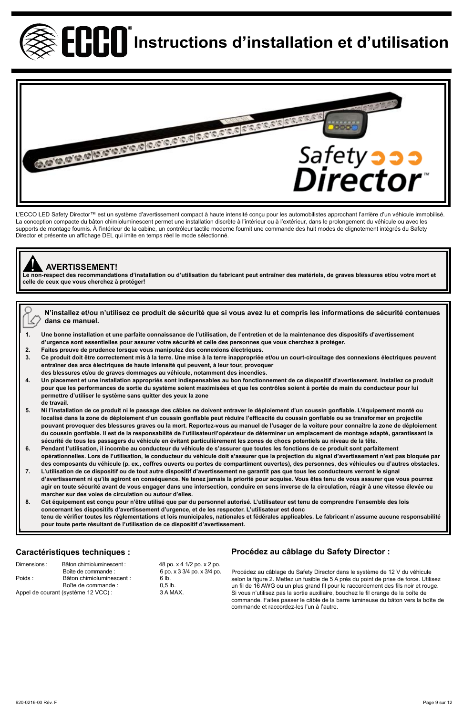



L'ECCO LED Safety Director™ est un système d'avertissement compact à haute intensité conçu pour les automobilistes approchant l'arrière d'un véhicule immobilisé La conception compacte du bâton chimioluminescent permet une installation discrète à l'intérieur ou à l'extérieur, dans le prolongement du véhicule ou avec les supports de montage fournis. À l'intérieur de la cabine, un contrôleur tactile moderne fournit une commande des huit modes de clignotement intégrés du Safety Director et présente un affichage DEL qui imite en temps réel le mode sélectionné.

# ! **AVERTISSEMENT!**

**Le non-respect des recommandations d'installation ou d'utilisation du fabricant peut entraîner des matériels, de graves blessures et/ou votre mort et celle de ceux que vous cherchez à protéger!**

**N'installez et/ou n'utilisez ce produit de sécurité que si vous avez lu et compris les informations de sécurité contenues**  K **dans ce manuel.**

- **1. Une bonne installation et une parfaite connaissance de l'utilisation, de l'entretien et de la maintenance des dispositifs d'avertissement d'urgence sont essentielles pour assurer votre sécurité et celle des personnes que vous cherchez à protéger.**
- **2. Faites preuve de prudence lorsque vous manipulez des connexions électriques.**
- **3. Ce produit doit être correctement mis à la terre. Une mise à la terre inappropriée et/ou un court-circuitage des connexions électriques peuvent entraîner des arcs électriques de haute intensité qui peuvent, à leur tour, provoquer**
- **des blessures et/ou de graves dommages au véhicule, notamment des incendies.**
- **4. Un placement et une installation appropriés sont indispensables au bon fonctionnement de ce dispositif d'avertissement. Installez ce produit pour que les performances de sortie du système soient maximisées et que les contrôles soient à portée de main du conducteur pour lui permettre d'utiliser le système sans quitter des yeux la zone de travail.**
- **5. Ni l'installation de ce produit ni le passage des câbles ne doivent entraver le déploiement d'un coussin gonflable. L'équipement monté ou localisé dans la zone de déploiement d'un coussin gonflable peut réduire l'efficacité du coussin gonflable ou se transformer en projectile**  pouvant provoquer des blessures graves ou la mort. Reportez-vous au manuel de l'usager de la voiture pour connaître la zone de déploiement **du coussin gonflable. Il est de la responsabilité de l'utilisateur/l'opérateur de déterminer un emplacement de montage adapté, garantissant la sécurité de tous les passagers du véhicule en évitant particulièrement les zones de chocs potentiels au niveau de la tête.**
- **6. Pendant l'utilisation, il incombe au conducteur du véhicule de s'assurer que toutes les fonctions de ce produit sont parfaitement opérationnelles. Lors de l'utilisation, le conducteur du véhicule doit s'assurer que la projection du signal d'avertissement n'est pas bloquée par des composants du véhicule (p. ex., coffres ouverts ou portes de compartiment ouvertes), des personnes, des véhicules ou d'autres obstacles.**
- **7. L'utilisation de ce dispositif ou de tout autre dispositif d'avertissement ne garantit pas que tous les conducteurs verront le signal d'avertissement ni qu'ils agiront en conséquence. Ne tenez jamais la priorité pour acquise. Vous êtes tenu de vous assurer que vous pourrez agir en toute sécurité avant de vous engager dans une intersection, conduire en sens inverse de la circulation, réagir à une vitesse élevée ou marcher sur des voies de circulation ou autour d'elles.**
- **8. Cet équipement est conçu pour n'être utilisé que par du personnel autorisé. L'utilisateur est tenu de comprendre l'ensemble des lois concernant les dispositifs d'avertissement d'urgence, et de les respecter. L'utilisateur est donc tenu de vérifier toutes les réglementations et lois municipales, nationales et fédérales applicables. Le fabricant n'assume aucune responsabilité pour toute perte résultant de l'utilisation de ce dispositif d'avertissement.**

# **Caractéristiques techniques :**

| Dimensions: | Bâton chimioluminescent :           | 48 po. x 4 1/2 po. x 2 po.  |
|-------------|-------------------------------------|-----------------------------|
|             | Boîte de commande :                 | 6 po. x 3 3/4 po. x 3/4 po. |
| Poids:      | Bâton chimioluminescent :           | 6 lb.                       |
|             | Boîte de commande :                 | $0.5$ lb.                   |
|             | Appel de courant (système 12 VCC) : | 3 A MAX                     |
|             |                                     |                             |

# **Procédez au câblage du Safety Director :**

Procédez au câblage du Safety Director dans le système de 12 V du véhicule selon la figure 2. Mettez un fusible de 5 A près du point de prise de force. Utilisez un fil de 16 AWG ou un plus grand fil pour le raccordement des fils noir et rouge. Si vous n'utilisez pas la sortie auxiliaire, bouchez le fil orange de la boîte de commande. Faites passer le câble de la barre lumineuse du bâton vers la boîte de commande et raccordez-les l'un à l'autre.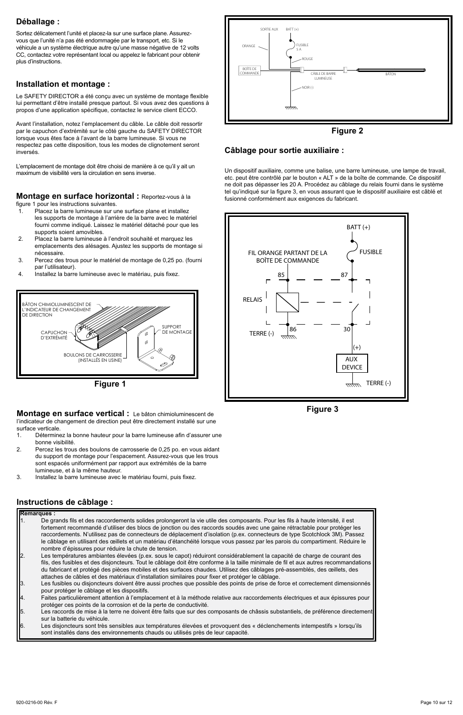# **Déballage :**

Sortez délicatement l'unité et placez-la sur une surface plane. Assurezvous que l'unité n'a pas été endommagée par le transport, etc. Si le véhicule a un système électrique autre qu'une masse négative de 12 volts CC, contactez votre représentant local ou appelez le fabricant pour obtenir plus d'instructions.

### **Installation et montage :**

Le SAFETY DIRECTOR a été conçu avec un système de montage flexible lui permettant d'être installé presque partout. Si vous avez des questions à propos d'une application spécifique, contactez le service client ECCO.

Avant l'installation, notez l'emplacement du câble. Le câble doit ressortir par le capuchon d'extrémité sur le côté gauche du SAFETY DIRECTOR lorsque vous êtes face à l'avant de la barre lumineuse. Si vous ne respectez pas cette disposition, tous les modes de clignotement seront inversés.

L'emplacement de montage doit être choisi de manière à ce qu'il y ait un maximum de visibilité vers la circulation en sens inverse.

#### **Montage en surface horizontal :** Reportez-vous à la figure 1 pour les instructions suivantes.

- 1. Placez la barre lumineuse sur une surface plane et installez les supports de montage à l'arrière de la barre avec le matériel fourni comme indiqué. Laissez le matériel détaché pour que les
- supports soient amovibles. 2. Placez la barre lumineuse à l'endroit souhaité et marquez les emplacements des alésages. Ajustez les supports de montage si
- nécessaire. 3. Percez des trous pour le matériel de montage de 0,25 po. (fourni
- par l'utilisateur).
- 4. Installez la barre lumineuse avec le matériau, puis fixez.



**Figure 1**

**Montage en surface vertical :** Le bâton chimioluminescent de l'indicateur de changement de direction peut être directement installé sur une surface verticale.<br>1 Détermine

- Déterminez la bonne hauteur pour la barre lumineuse afin d'assurer une bonne visibilité.
- 2. Percez les trous des boulons de carrosserie de 0,25 po. en vous aidant du support de montage pour l'espacement. Assurez-vous que les trous sont espacés uniformément par rapport aux extrémités de la barre lumineuse, et à la même hauteur.
- 3. Installez la barre lumineuse avec le matériau fourni, puis fixez.

# **Instructions de câblage :**

|     | <b>Remarques:</b>                                                                                                                                                                                     |  |  |
|-----|-------------------------------------------------------------------------------------------------------------------------------------------------------------------------------------------------------|--|--|
|     | De grands fils et des raccordements solides prolongeront la vie utile des composants. Pour les fils à haute intensité, il est                                                                         |  |  |
|     | fortement recommandé d'utiliser des blocs de jonction ou des raccords soudés avec une gaine rétractable pour protéger les                                                                             |  |  |
|     | raccordements. N'utilisez pas de connecteurs de déplacement d'isolation (p.ex. connecteurs de type Scotchlock 3M). Passez                                                                             |  |  |
|     | le câblage en utilisant des œillets et un matériau d'étanchéité lorsque vous passez par les parois du compartiment. Réduire le<br>nombre d'épissures pour réduire la chute de tension.                |  |  |
|     | Les températures ambiantes élevées (p.ex. sous le capot) réduiront considérablement la capacité de charge de courant des                                                                              |  |  |
|     | fils, des fusibles et des disjoncteurs. Tout le câblage doit être conforme à la taille minimale de fil et aux autres recommandations                                                                  |  |  |
|     | du fabricant et protégé des pièces mobiles et des surfaces chaudes. Utilisez des câblages pré-assemblés, des œillets, des                                                                             |  |  |
|     | attaches de câbles et des matériaux d'installation similaires pour fixer et protéger le câblage.                                                                                                      |  |  |
| IЗ. | Les fusibles ou disjoncteurs doivent être aussi proches que possible des points de prise de force et correctement dimensionnés                                                                        |  |  |
|     | pour protéger le câblage et les dispositifs.                                                                                                                                                          |  |  |
|     | Faites particulièrement attention à l'emplacement et à la méthode relative aux raccordements électriques et aux épissures pour<br>protéger ces points de la corrosion et de la perte de conductivité. |  |  |
| IS. | Les raccords de mise à la terre ne doivent être faits que sur des composants de châssis substantiels, de préférence directement                                                                       |  |  |
|     | sur la batterie du véhicule.                                                                                                                                                                          |  |  |
| l6. | Les disjoncteurs sont très sensibles aux températures élevées et provoquent des « déclenchements intempestifs » lorsqu'ils                                                                            |  |  |
|     | sont installés dans des environnements chauds ou utilisés près de leur capacité.                                                                                                                      |  |  |



#### **Figure 2**

## **Câblage pour sortie auxiliaire :**

Un dispositif auxiliaire, comme une balise, une barre lumineuse, une lampe de travail, etc. peut être contrôlé par le bouton « ALT » de la boîte de commande. Ce dispositif ne doit pas dépasser les 20 A. Procédez au câblage du relais fourni dans le système tel qu'indiqué sur la figure 3, en vous assurant que le dispositif auxiliaire est câblé et fusionné conformément aux exigences du fabricant.



**Figure 3**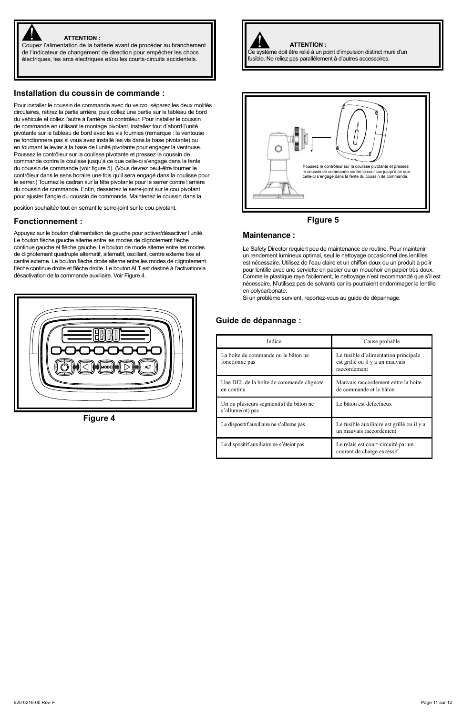

#### **ATTENTION :**

ATTENTION :<br>Coupez l'alimentation de la batterie avant de procéder au branchement de l'indicateur de changement de direction pour empêcher les chocs électriques, les arcs électriques et/ou les courts-circuits accidentels.

#### **Installation du coussin de commande :**

Pour installer le coussin de commande avec du velcro, séparez les deux moitiés circulaires, retirez la partie arrière, puis collez une partie sur le tableau de bord du véhicule et collez l'autre à l'arrière du contrôleur. Pour installer le coussin de commande en utilisant le montage pivotant, installez tout d'abord l'unité pivotante sur le tableau de bord avec les vis fournies (remarque : la ventouse ne fonctionnera pas si vous avez installé les vis dans la base pivotante) ou en tournant le levier à la base de l'unité pivotante pour engager la ventouse. Poussez le contrôleur sur la coulisse pivotante et pressez le coussin de commande contre la coulisse jusqu'à ce que celle-ci s'engage dans la fente du coussin de commande (voir figure 5). (Vous devrez peut-être tourner le contrôleur dans le sens horaire une fois qu'il sera engagé dans la coulisse pour le serrer.) Tournez le cadran sur la tête pivotante pour le serrer contre l'arrière du coussin de commande. Enfin, desserrez le serre-joint sur le cou pivotant pour ajuster l'angle du coussin de commande. Maintenez le coussin dans la

position souhaitée tout en serrant le serre-joint sur le cou pivotant.

#### **Fonctionnement :**

Appuyez sur le bouton d'alimentation de gauche pour activer/désactiver l'unité. Le bouton flèche gauche alterne entre les modes de clignotement flèche continue gauche et flèche gauche. Le bouton de mode alterne entre les modes de clignotement quadruple alternatif, alternatif, oscillant, centre externe fixe et centre externe. Le bouton flèche droite alterne entre les modes de clignotement flèche continue droite et flèche droite. Le bouton ALT est destiné à l'activation/la désactivation de la commande auxiliaire. Voir Figure 4.



**Figure 4**

Ce système doit être relié à un point d'impulsion distinct muni d'un fusible. Ne reliez pas parallèlement à d'autres accessoires.

**ATTENTION :**





#### **Maintenance :**

Le Safety Director requiert peu de maintenance de routine. Pour maintenir un rendement lumineux optimal, seul le nettoyage occasionnel des lentilles est nécessaire. Utilisez de l'eau claire et un chiffon doux ou un produit à polir pour lentille avec une serviette en papier ou un mouchoir en papier très doux. Comme le plastique raye facilement, le nettoyage n'est recommandé que s'il est nécessaire. N'utilisez pas de solvants car ils pourraient endommager la lentille en polycarbonate.

Si un problème survient, reportez-vous au guide de dépannage.

# **Guide de dépannage :**

| Indice                                                     | Cause probable                                                                          |
|------------------------------------------------------------|-----------------------------------------------------------------------------------------|
| La boîte de commande ou le bâton ne<br>fonctionne pas      | Le fusible d'alimentation principale<br>est grillé ou il y a un mauvais<br>raccordement |
| Une DEL de la boîte de commande clignote<br>en continu     | Mauvais raccordement entre la boîte<br>de commande et le bâton                          |
| Un ou plusieurs segment(s) du bâton ne<br>s'allume(nt) pas | Le bâton est défectueux                                                                 |
| Le dispositif auxiliaire ne s'allume pas                   | Le fusible auxiliaire est grillé ou il y a<br>un mauvais raccordement                   |
| Le dispositif auxiliaire ne s'éteint pas                   | Le relais est court-circuité par un<br>courant de charge excessif                       |